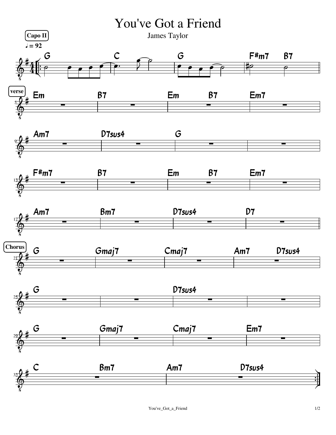